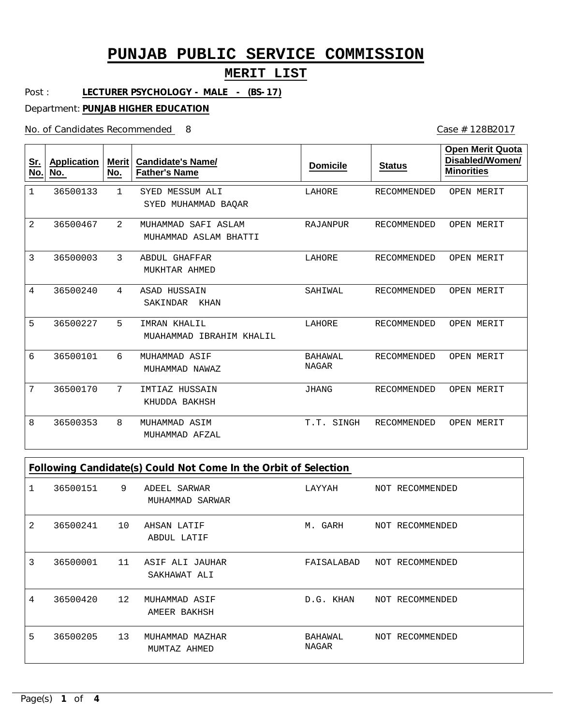### **MERIT LIST**

Post : **LECTURER PSYCHOLOGY - MALE - (BS-17)**

Department: **PUNJAB HIGHER EDUCATION**

No. of Candidates Recommended

Case # 128B2017

| <u>Sr.</u><br>No. | <b>Application</b><br>No. | <b>Merit</b><br>No. | <b>Candidate's Name/</b><br><b>Father's Name</b> | <b>Domicile</b>                | <b>Status</b>      | <b>Open Merit Quota</b><br>Disabled/Women/<br><b>Minorities</b> |
|-------------------|---------------------------|---------------------|--------------------------------------------------|--------------------------------|--------------------|-----------------------------------------------------------------|
| 1                 | 36500133                  | $\mathbf{1}$        | SYED MESSUM ALI<br>SYED MUHAMMAD BAOAR           | LAHORE                         | <b>RECOMMENDED</b> | OPEN MERIT                                                      |
| $\overline{2}$    | 36500467                  | $\overline{2}$      | MUHAMMAD SAFI ASLAM<br>MUHAMMAD ASLAM BHATTI     | RAJANPUR                       | RECOMMENDED        | OPEN MERIT                                                      |
| 3                 | 36500003                  | 3                   | <b>ABDUL GHAFFAR</b><br>MUKHTAR AHMED            | LAHORE                         | RECOMMENDED        | OPEN MERIT                                                      |
| 4                 | 36500240                  | 4                   | ASAD HUSSAIN<br>SAKINDAR<br>KHAN                 | SAHIWAL                        | RECOMMENDED        | OPEN MERIT                                                      |
| 5                 | 36500227                  | 5                   | IMRAN KHALIL<br>MUAHAMMAD IBRAHIM KHALIL         | LAHORE                         | RECOMMENDED        | OPEN MERIT                                                      |
| 6                 | 36500101                  | 6                   | MUHAMMAD ASIF<br>MUHAMMAD NAWAZ                  | <b>BAHAWAL</b><br><b>NAGAR</b> | RECOMMENDED        | OPEN MERIT                                                      |
| 7                 | 36500170                  | 7                   | IMTIAZ HUSSAIN<br>KHUDDA BAKHSH                  | JHANG                          | RECOMMENDED        | OPEN MERIT                                                      |
| 8                 | 36500353                  | 8                   | MUHAMMAD ASIM<br>MUHAMMAD AFZAL                  | T.T.<br>SINGH                  | RECOMMENDED        | OPEN MERIT                                                      |

| Following Candidate(s) Could Not Come In the Orbit of Selection |          |                   |                                 |                  |                 |
|-----------------------------------------------------------------|----------|-------------------|---------------------------------|------------------|-----------------|
|                                                                 | 36500151 | 9                 | ADEEL SARWAR<br>MUHAMMAD SARWAR | LAYYAH           | NOT RECOMMENDED |
| 2                                                               | 36500241 | 10                | AHSAN LATIF<br>ABDUL LATIF      | M. GARH          | NOT RECOMMENDED |
| 3                                                               | 36500001 | 11                | ASIF ALI JAUHAR<br>SAKHAWAT ALI | FAISALABAD       | NOT RECOMMENDED |
| 4                                                               | 36500420 | $12 \overline{ }$ | MUHAMMAD ASIF<br>AMEER BAKHSH   | D.G. KHAN        | NOT RECOMMENDED |
| 5                                                               | 36500205 | 13                | MUHAMMAD MAZHAR<br>MUMTAZ AHMED | BAHAWAL<br>NAGAR | NOT RECOMMENDED |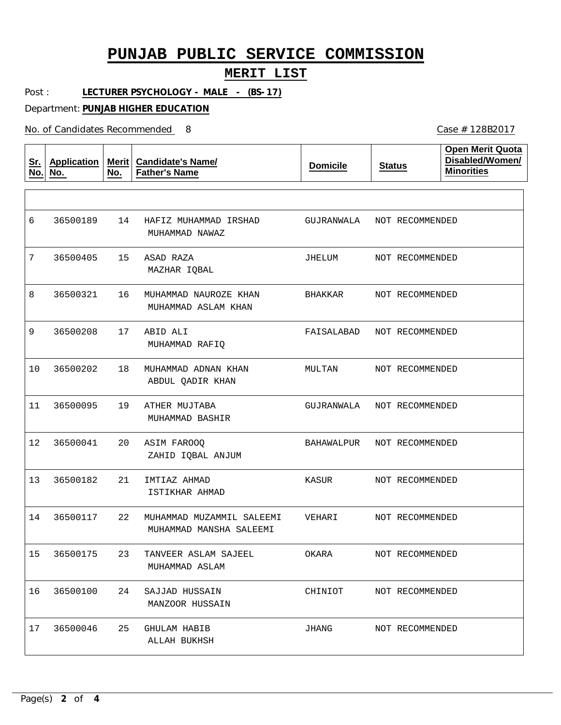#### **MERIT LIST**

Post : **LECTURER PSYCHOLOGY - MALE - (BS-17)**

Department: **PUNJAB HIGHER EDUCATION**

No. of Candidates Recommended

| <u>Sr.</u><br>No. | <b>Application</b><br>No. | No. | Merit   Candidate's Name/<br><b>Father's Name</b>    | <b>Domicile</b> | <b>Status</b>   | <b>Open Merit Quota</b><br>Disabled/Women/<br><b>Minorities</b> |
|-------------------|---------------------------|-----|------------------------------------------------------|-----------------|-----------------|-----------------------------------------------------------------|
|                   |                           |     |                                                      |                 |                 |                                                                 |
| 6                 | 36500189                  | 14  | HAFIZ MUHAMMAD IRSHAD<br>MUHAMMAD NAWAZ              | GUJRANWALA      | NOT RECOMMENDED |                                                                 |
| 7                 | 36500405                  | 15  | ASAD RAZA<br>MAZHAR IQBAL                            | JHELUM          | NOT RECOMMENDED |                                                                 |
| 8                 | 36500321                  | 16  | MUHAMMAD NAUROZE KHAN<br>MUHAMMAD ASLAM KHAN         | BHAKKAR         | NOT RECOMMENDED |                                                                 |
| 9                 | 36500208                  | 17  | ABID ALI<br>MUHAMMAD RAFIQ                           | FAISALABAD      | NOT RECOMMENDED |                                                                 |
| 10                | 36500202                  | 18  | MUHAMMAD ADNAN KHAN<br>ABDUL QADIR KHAN              | MULTAN          | NOT RECOMMENDED |                                                                 |
| 11                | 36500095                  | 19  | ATHER MUJTABA<br>MUHAMMAD BASHIR                     | GUJRANWALA      | NOT RECOMMENDED |                                                                 |
| 12                | 36500041                  | 20  | ASIM FAROOQ<br>ZAHID IQBAL ANJUM                     | BAHAWALPUR      | NOT RECOMMENDED |                                                                 |
| 13                | 36500182                  | 21  | IMTIAZ AHMAD<br>ISTIKHAR AHMAD                       | KASUR           | NOT RECOMMENDED |                                                                 |
| 14                | 36500117                  | 22  | MUHAMMAD MUZAMMIL SALEEMI<br>MUHAMMAD MANSHA SALEEMI | VEHARI          | NOT RECOMMENDED |                                                                 |
| 15                | 36500175                  | 23  | TANVEER ASLAM SAJEEL<br>MUHAMMAD ASLAM               | OKARA           | NOT RECOMMENDED |                                                                 |
| 16                | 36500100                  | 24  | SAJJAD HUSSAIN<br>MANZOOR HUSSAIN                    | CHINIOT         | NOT RECOMMENDED |                                                                 |
| 17                | 36500046                  | 25  | <b>GHULAM HABIB</b><br>ALLAH BUKHSH                  | JHANG           | NOT RECOMMENDED |                                                                 |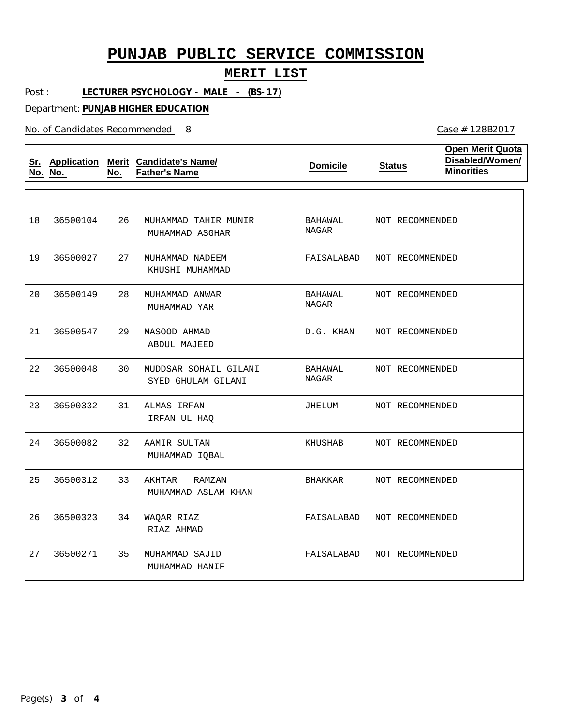### **MERIT LIST**

Post : **LECTURER PSYCHOLOGY - MALE - (BS-17)**

Department: **PUNJAB HIGHER EDUCATION**

No. of Candidates Recommended

| <u>Sr.</u><br>No. | <b>Application</b><br>No. | Merit<br>No. | <b>Candidate's Name/</b><br><b>Father's Name</b> | <b>Domicile</b>  | <b>Status</b>   | <b>Open Merit Quota</b><br>Disabled/Women/<br><b>Minorities</b> |
|-------------------|---------------------------|--------------|--------------------------------------------------|------------------|-----------------|-----------------------------------------------------------------|
|                   |                           |              |                                                  |                  |                 |                                                                 |
| 18                | 36500104                  | 26           | MUHAMMAD TAHIR MUNIR<br>MUHAMMAD ASGHAR          | BAHAWAL<br>NAGAR | NOT RECOMMENDED |                                                                 |
| 19                | 36500027                  | 27           | MUHAMMAD NADEEM<br>KHUSHI MUHAMMAD               | FAISALABAD       | NOT RECOMMENDED |                                                                 |
| 20                | 36500149                  | 28           | MUHAMMAD ANWAR<br>MUHAMMAD YAR                   | BAHAWAL<br>NAGAR | NOT RECOMMENDED |                                                                 |
| 21                | 36500547                  | 29           | MASOOD AHMAD<br>ABDUL MAJEED                     | D.G. KHAN        | NOT RECOMMENDED |                                                                 |
| 22                | 36500048                  | 30           | MUDDSAR SOHAIL GILANI<br>SYED GHULAM GILANI      | BAHAWAL<br>NAGAR | NOT RECOMMENDED |                                                                 |
| 23                | 36500332                  | 31           | ALMAS IRFAN<br>IRFAN UL HAQ                      | JHELUM           | NOT RECOMMENDED |                                                                 |
| 24                | 36500082                  | 32           | AAMIR SULTAN<br>MUHAMMAD IQBAL                   | KHUSHAB          | NOT RECOMMENDED |                                                                 |
| 25                | 36500312                  | 33           | AKHTAR<br>RAMZAN<br>MUHAMMAD ASLAM KHAN          | BHAKKAR          | NOT RECOMMENDED |                                                                 |
| 26                | 36500323                  | 34           | WAQAR RIAZ<br>RIAZ AHMAD                         | FAISALABAD       | NOT RECOMMENDED |                                                                 |
| 27                | 36500271                  | 35           | MUHAMMAD SAJID<br>MUHAMMAD HANIF                 | FAISALABAD       | NOT RECOMMENDED |                                                                 |